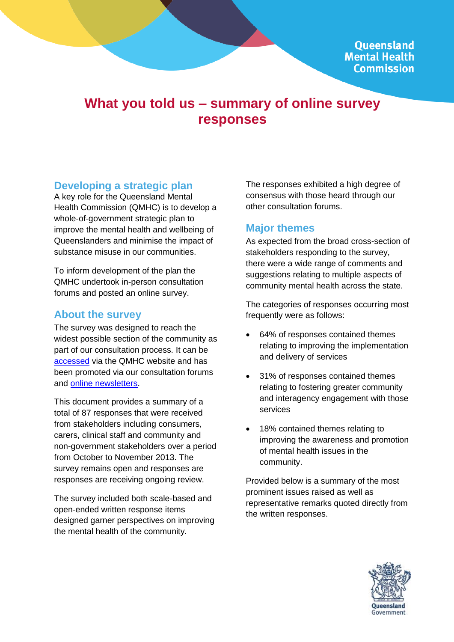# **What you told us – summary of online survey responses**

### **Developing a strategic plan**

A key role for the Queensland Mental Health Commission (QMHC) is to develop a whole-of-government strategic plan to improve the mental health and wellbeing of Queenslanders and minimise the impact of substance misuse in our communities.

To inform development of the plan the QMHC undertook in-person consultation forums and posted an online survey.

### **About the survey**

The survey was designed to reach the widest possible section of the community as part of our consultation process. It can be [accessed](http://www.qmhc.qld.gov.au/our-work/queensland-mental-health-and-drug-strategic-plan/survey/) via the QMHC website and has been promoted via our consultation forums and [online newsletters.](http://www.qmhc.qld.gov.au/news-events/qmhc-enews/)

This document provides a summary of a total of 87 responses that were received from stakeholders including consumers, carers, clinical staff and community and non-government stakeholders over a period from October to November 2013. The survey remains open and responses are responses are receiving ongoing review.

The survey included both scale-based and open-ended written response items designed garner perspectives on improving the mental health of the community.

The responses exhibited a high degree of consensus with those heard through our other consultation forums.

# **Major themes**

As expected from the broad cross-section of stakeholders responding to the survey, there were a wide range of comments and suggestions relating to multiple aspects of community mental health across the state.

The categories of responses occurring most frequently were as follows:

- 64% of responses contained themes relating to improving the implementation and delivery of services
- 31% of responses contained themes relating to fostering greater community and interagency engagement with those services
- 18% contained themes relating to improving the awareness and promotion of mental health issues in the community.

Provided below is a summary of the most prominent issues raised as well as representative remarks quoted directly from the written responses.